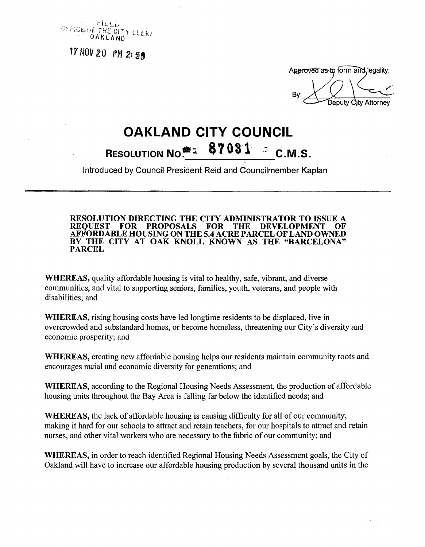

**17 NOV 20**

**Approved as to form and legality:** 

**By: City Attorney** 

## **OAKLAND CITY COUNCIL**<br>OUTION No<sup>#</sup> 37031 = C.M RESOLUTION  $NO^{\bullet\bullet}$   $\leq$  $\bullet$  **7 031**  $\leq$  C.M.S.

**Introduced by Council President Reid and Councilmember Kaplan**

**RESOLUTION DIRECTING THE CITY ADMINISTRATOR TO ISSUE A REQUEST FOR PROPOSALS FOR THE DEVELOPMENT OF AFFORDABLE HOUSING ON THE 5.4 ACRE PARCEL OF LAND OWNED BY THE CITY AT OAK KNOLL KNOWN AS THE "BARCELONA" PARCEL**

**WHEREAS,** quality affordable housing is vital to healthy, safe, vibrant, and diverse communities, and vital to supporting seniors, families, youth, veterans, and people with disabilities; and

**WHEREAS,** rising housing costs have led longtime residents to be displaced, live in overcrowded and substandard homes, or become homeless, threatening our City's diversity and economic prosperity; and

**WHEREAS,** creating new affordable housing helps our residents maintain community roots and encourages racial and economic diversity for generations; and

**WHEREAS,** according to the Regional Housing Needs Assessment, the production of affordable housing units throughout the Bay Area is falling far below the identified needs; and

**WHEREAS,** the lack of affordable housing is causing difficulty for all of our community, making it hard for our schools to attract and retain teachers, for our hospitals to attract and retain nurses, and other vital workers who are necessary to the fabric of our community; and

**WHEREAS,** in order to reach identified Regional Housing Needs Assessment goals, the City of Oakland will have to increase our affordable housing production by several thousand units in the